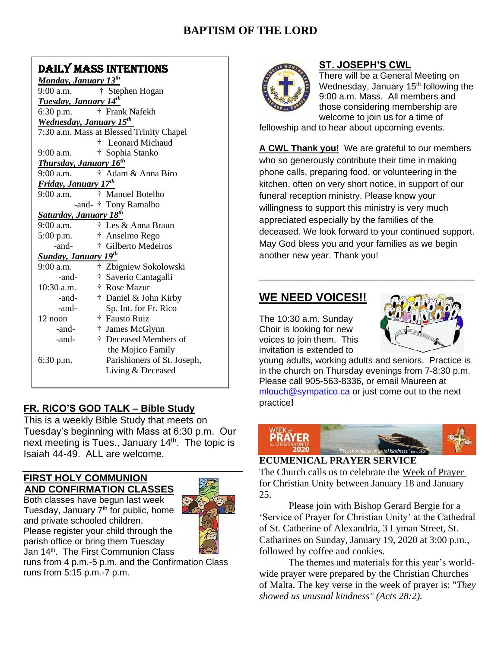# **BAPTISM OF THE LORD**

## DAILY MASS INTENTIONS

*Monday, January 13th* 9:00 a.m. † Stephen Hogan *Tuesday, January 14th* 6:30 p.m. † Frank Nafekh *Wednesday, January 15th* 7:30 a.m. Mass at Blessed Trinity Chapel † Leonard Michaud 9:00 a.m. † Sophia Stanko *Thursday, January 16th*  9:00 a.m. † Adam & Anna Biro *Friday, January 17th* 9:00 a.m.† Manuel Botelho -and- † Tony Ramalho *Saturday, January 18 th* 9:00 a.m. † Les & Anna Braun 5:00 p.m. † Anselmo Rego -and- † Gilberto Medeiros *Sunday, January 19 th* 9:00 a.m. † Zbigniew Sokolowski -and- † Saverio Cantagalli 10:30 a.m. † Rose Mazur -and- † Daniel & John Kirby -and- Sp. Int. for Fr. Rico 12 noon  $\ddagger$  Fausto Ruiz -and- † James McGlynn -and- † Deceased Members of the Mojico Family 6:30 p.m. Parishioners of St. Joseph, Living & Deceased

#### **FR. RICO'S GOD TALK – Bible Study**

This is a weekly Bible Study that meets on Tuesday's beginning with Mass at 6:30 p.m. Our next meeting is Tues., January 14<sup>th</sup>. The topic is Isaiah 44-49. ALL are welcome.

#### **FIRST HOLY COMMUNION AND CONFIRMATION CLASSES**

Both classes have begun last week Tuesday, January 7<sup>th</sup> for public, home and private schooled children. Please register your child through the parish office or bring them Tuesday Jan 14<sup>th</sup>. The First Communion Class



runs from 4 p.m.-5 p.m. and the Confirmation Class runs from 5:15 p.m.-7 p.m.



#### **ST. JOSEPH'S CWL**

There will be a General Meeting on Wednesday, January 15<sup>th</sup> following the 9:00 a.m. Mass. All members and those considering membership are welcome to join us for a time of

fellowship and to hear about upcoming events.

**A CWL Thank you!** We are grateful to our members who so generously contribute their time in making phone calls, preparing food, or volunteering in the kitchen, often on very short notice, in support of our funeral reception ministry. Please know your willingness to support this ministry is very much appreciated especially by the families of the deceased. We look forward to your continued support. May God bless you and your families as we begin another new year. Thank you!

\_\_\_\_\_\_\_\_\_\_\_\_\_\_\_\_\_\_\_\_\_\_\_\_\_\_\_\_\_\_\_\_\_\_\_\_\_\_\_\_\_\_\_

## **WE NEED VOICES!!**

The 10:30 a.m. Sunday Choir is looking for new voices to join them. This invitation is extended to



young adults, working adults and seniors. Practice is in the church on Thursday evenings from 7-8:30 p.m. Please call 905-563-8336, or email Maureen at [mlouch@sympatico.ca](mailto:mlouch@sympatico.ca) or just come out to the next practice**!**



#### **ECUMENICAL PRAYER SERVICE**

The Church calls us to celebrate the Week of Prayer for Christian Unity between January 18 and January 25.

Please join with Bishop Gerard Bergie for a 'Service of Prayer for Christian Unity' at the Cathedral of St. Catherine of Alexandria, 3 Lyman Street, St. Catharines on Sunday, January 19, 2020 at 3:00 p.m., followed by coffee and cookies.

The themes and materials for this year's worldwide prayer were prepared by the Christian Churches of Malta. The key verse in the week of prayer is: "*They showed us unusual kindness" (Acts 28:2).*